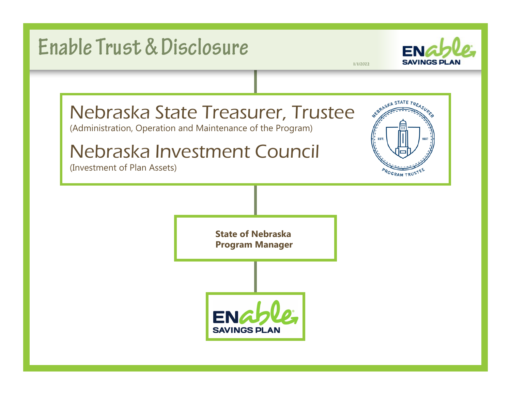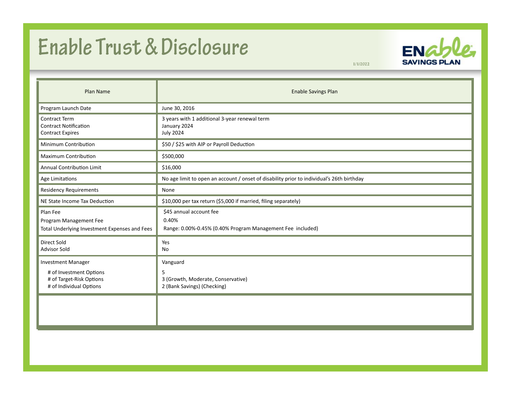## **Enable Trust & Disclosure**



**1/1/2022**

| Plan Name                                                                                                   | <b>Enable Savings Plan</b>                                                                     |
|-------------------------------------------------------------------------------------------------------------|------------------------------------------------------------------------------------------------|
| Program Launch Date                                                                                         | June 30, 2016                                                                                  |
| Contract Term<br><b>Contract Notification</b><br><b>Contract Expires</b>                                    | 3 years with 1 additional 3-year renewal term<br>January 2024<br><b>July 2024</b>              |
| Minimum Contribution                                                                                        | \$50 / \$25 with AIP or Payroll Deduction                                                      |
| Maximum Contribution                                                                                        | \$500,000                                                                                      |
| Annual Contribution Limit                                                                                   | \$16,000                                                                                       |
| Age Limitations                                                                                             | No age limit to open an account / onset of disability prior to individual's 26th birthday      |
| <b>Residency Requirements</b>                                                                               | None                                                                                           |
| NE State Income Tax Deduction                                                                               | \$10,000 per tax return (\$5,000 if married, filing separately)                                |
| Plan Fee<br>Program Management Fee<br>Total Underlying Investment Expenses and Fees                         | \$45 annual account fee<br>0.40%<br>Range: 0.00%-0.45% (0.40% Program Management Fee included) |
| Direct Sold<br><b>Advisor Sold</b>                                                                          | Yes<br>No                                                                                      |
| <b>Investment Manager</b><br># of Investment Options<br># of Target-Risk Options<br># of Individual Options | Vanguard<br>5<br>3 (Growth, Moderate, Conservative)<br>2 (Bank Savings) (Checking)             |
|                                                                                                             |                                                                                                |